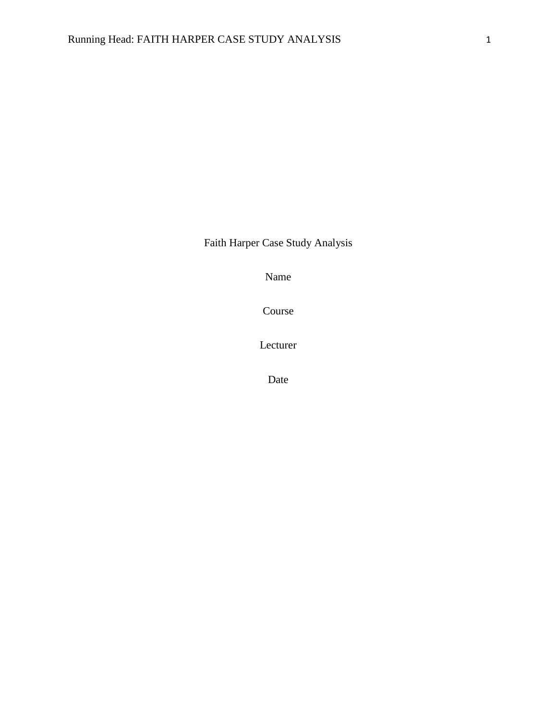Faith Harper Case Study Analysis

Name

Course

Lecturer

Date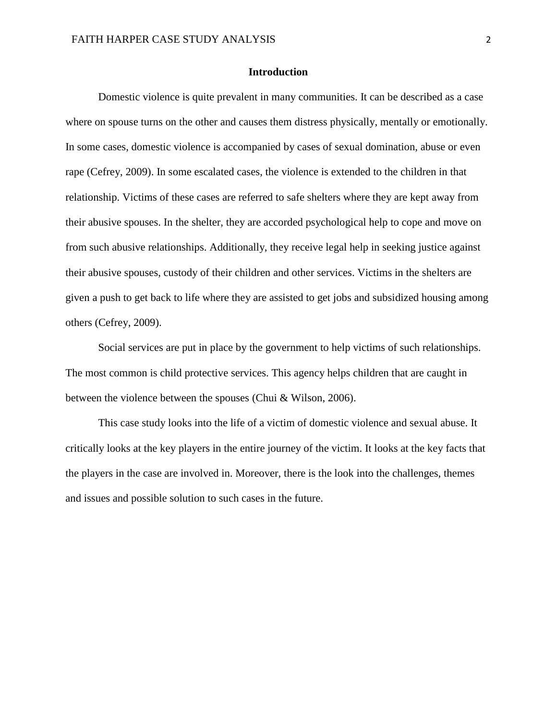# **Introduction**

Domestic violence is quite prevalent in many communities. It can be described as a case where on spouse turns on the other and causes them distress physically, mentally or emotionally. In some cases, domestic violence is accompanied by cases of sexual domination, abuse or even rape (Cefrey, 2009). In some escalated cases, the violence is extended to the children in that relationship. Victims of these cases are referred to safe shelters where they are kept away from their abusive spouses. In the shelter, they are accorded psychological help to cope and move on from such abusive relationships. Additionally, they receive legal help in seeking justice against their abusive spouses, custody of their children and other services. Victims in the shelters are given a push to get back to life where they are assisted to get jobs and subsidized housing among others (Cefrey, 2009).

Social services are put in place by the government to help victims of such relationships. The most common is child protective services. This agency helps children that are caught in between the violence between the spouses (Chui & Wilson, 2006).

This case study looks into the life of a victim of domestic violence and sexual abuse. It critically looks at the key players in the entire journey of the victim. It looks at the key facts that the players in the case are involved in. Moreover, there is the look into the challenges, themes and issues and possible solution to such cases in the future.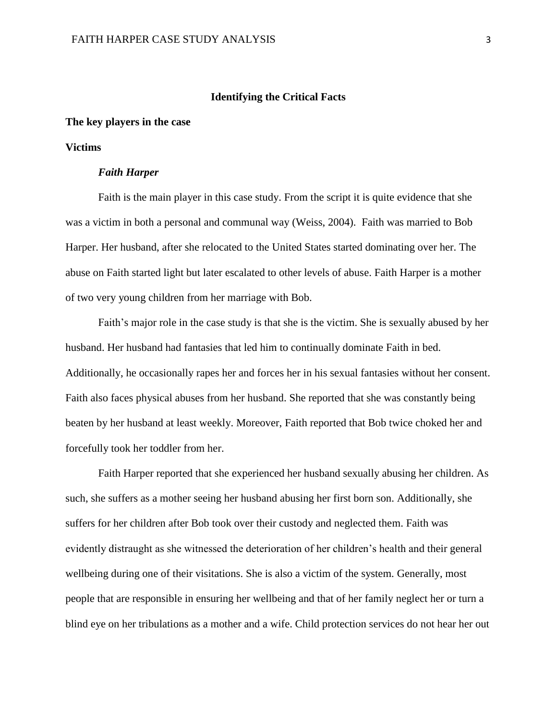# **Identifying the Critical Facts**

# **The key players in the case**

## **Victims**

### *Faith Harper*

Faith is the main player in this case study. From the script it is quite evidence that she was a victim in both a personal and communal way (Weiss, 2004). Faith was married to Bob Harper. Her husband, after she relocated to the United States started dominating over her. The abuse on Faith started light but later escalated to other levels of abuse. Faith Harper is a mother of two very young children from her marriage with Bob.

Faith's major role in the case study is that she is the victim. She is sexually abused by her husband. Her husband had fantasies that led him to continually dominate Faith in bed. Additionally, he occasionally rapes her and forces her in his sexual fantasies without her consent. Faith also faces physical abuses from her husband. She reported that she was constantly being beaten by her husband at least weekly. Moreover, Faith reported that Bob twice choked her and forcefully took her toddler from her.

Faith Harper reported that she experienced her husband sexually abusing her children. As such, she suffers as a mother seeing her husband abusing her first born son. Additionally, she suffers for her children after Bob took over their custody and neglected them. Faith was evidently distraught as she witnessed the deterioration of her children's health and their general wellbeing during one of their visitations. She is also a victim of the system. Generally, most people that are responsible in ensuring her wellbeing and that of her family neglect her or turn a blind eye on her tribulations as a mother and a wife. Child protection services do not hear her out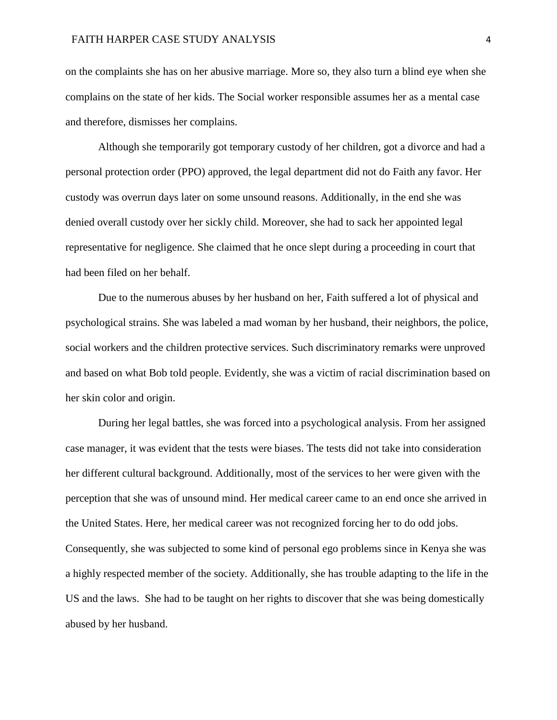on the complaints she has on her abusive marriage. More so, they also turn a blind eye when she complains on the state of her kids. The Social worker responsible assumes her as a mental case and therefore, dismisses her complains.

Although she temporarily got temporary custody of her children, got a divorce and had a personal protection order (PPO) approved, the legal department did not do Faith any favor. Her custody was overrun days later on some unsound reasons. Additionally, in the end she was denied overall custody over her sickly child. Moreover, she had to sack her appointed legal representative for negligence. She claimed that he once slept during a proceeding in court that had been filed on her behalf.

Due to the numerous abuses by her husband on her, Faith suffered a lot of physical and psychological strains. She was labeled a mad woman by her husband, their neighbors, the police, social workers and the children protective services. Such discriminatory remarks were unproved and based on what Bob told people. Evidently, she was a victim of racial discrimination based on her skin color and origin.

During her legal battles, she was forced into a psychological analysis. From her assigned case manager, it was evident that the tests were biases. The tests did not take into consideration her different cultural background. Additionally, most of the services to her were given with the perception that she was of unsound mind. Her medical career came to an end once she arrived in the United States. Here, her medical career was not recognized forcing her to do odd jobs. Consequently, she was subjected to some kind of personal ego problems since in Kenya she was a highly respected member of the society. Additionally, she has trouble adapting to the life in the US and the laws. She had to be taught on her rights to discover that she was being domestically abused by her husband.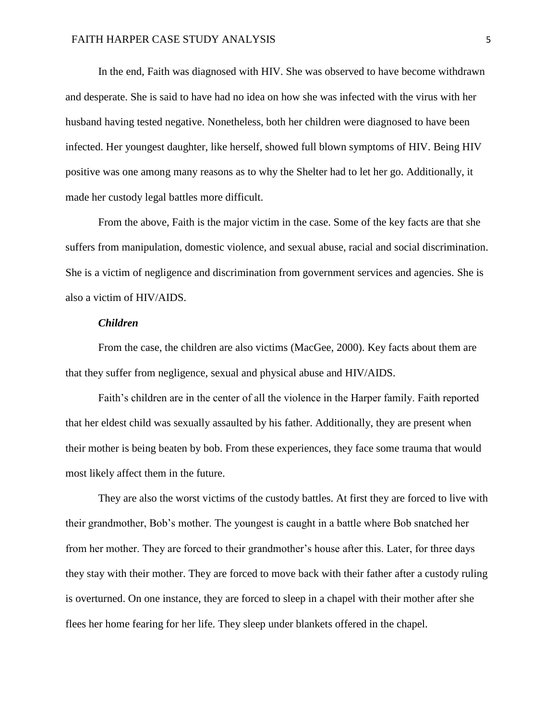In the end, Faith was diagnosed with HIV. She was observed to have become withdrawn and desperate. She is said to have had no idea on how she was infected with the virus with her husband having tested negative. Nonetheless, both her children were diagnosed to have been infected. Her youngest daughter, like herself, showed full blown symptoms of HIV. Being HIV positive was one among many reasons as to why the Shelter had to let her go. Additionally, it made her custody legal battles more difficult.

From the above, Faith is the major victim in the case. Some of the key facts are that she suffers from manipulation, domestic violence, and sexual abuse, racial and social discrimination. She is a victim of negligence and discrimination from government services and agencies. She is also a victim of HIV/AIDS.

#### *Children*

From the case, the children are also victims (MacGee, 2000). Key facts about them are that they suffer from negligence, sexual and physical abuse and HIV/AIDS.

Faith's children are in the center of all the violence in the Harper family. Faith reported that her eldest child was sexually assaulted by his father. Additionally, they are present when their mother is being beaten by bob. From these experiences, they face some trauma that would most likely affect them in the future.

They are also the worst victims of the custody battles. At first they are forced to live with their grandmother, Bob's mother. The youngest is caught in a battle where Bob snatched her from her mother. They are forced to their grandmother's house after this. Later, for three days they stay with their mother. They are forced to move back with their father after a custody ruling is overturned. On one instance, they are forced to sleep in a chapel with their mother after she flees her home fearing for her life. They sleep under blankets offered in the chapel.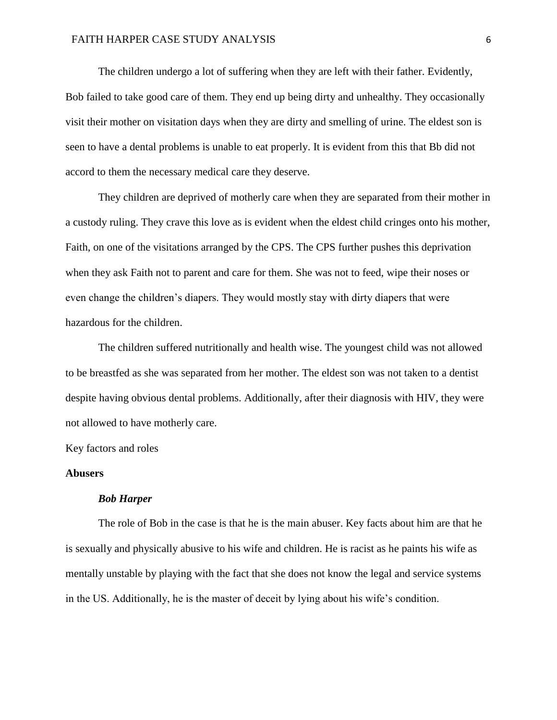The children undergo a lot of suffering when they are left with their father. Evidently, Bob failed to take good care of them. They end up being dirty and unhealthy. They occasionally visit their mother on visitation days when they are dirty and smelling of urine. The eldest son is seen to have a dental problems is unable to eat properly. It is evident from this that Bb did not accord to them the necessary medical care they deserve.

They children are deprived of motherly care when they are separated from their mother in a custody ruling. They crave this love as is evident when the eldest child cringes onto his mother, Faith, on one of the visitations arranged by the CPS. The CPS further pushes this deprivation when they ask Faith not to parent and care for them. She was not to feed, wipe their noses or even change the children's diapers. They would mostly stay with dirty diapers that were hazardous for the children.

The children suffered nutritionally and health wise. The youngest child was not allowed to be breastfed as she was separated from her mother. The eldest son was not taken to a dentist despite having obvious dental problems. Additionally, after their diagnosis with HIV, they were not allowed to have motherly care.

Key factors and roles

## **Abusers**

#### *Bob Harper*

The role of Bob in the case is that he is the main abuser. Key facts about him are that he is sexually and physically abusive to his wife and children. He is racist as he paints his wife as mentally unstable by playing with the fact that she does not know the legal and service systems in the US. Additionally, he is the master of deceit by lying about his wife's condition.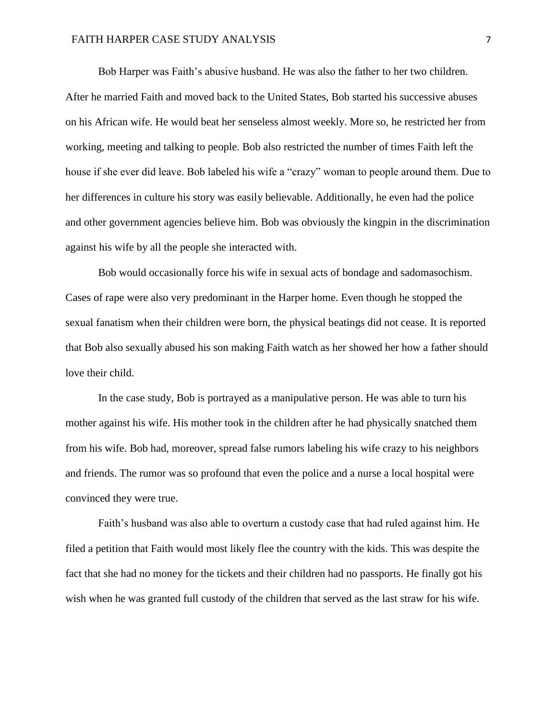# FAITH HARPER CASE STUDY ANALYSIS 7

Bob Harper was Faith's abusive husband. He was also the father to her two children. After he married Faith and moved back to the United States, Bob started his successive abuses on his African wife. He would beat her senseless almost weekly. More so, he restricted her from working, meeting and talking to people. Bob also restricted the number of times Faith left the house if she ever did leave. Bob labeled his wife a "crazy" woman to people around them. Due to her differences in culture his story was easily believable. Additionally, he even had the police and other government agencies believe him. Bob was obviously the kingpin in the discrimination against his wife by all the people she interacted with.

Bob would occasionally force his wife in sexual acts of bondage and sadomasochism. Cases of rape were also very predominant in the Harper home. Even though he stopped the sexual fanatism when their children were born, the physical beatings did not cease. It is reported that Bob also sexually abused his son making Faith watch as her showed her how a father should love their child.

In the case study, Bob is portrayed as a manipulative person. He was able to turn his mother against his wife. His mother took in the children after he had physically snatched them from his wife. Bob had, moreover, spread false rumors labeling his wife crazy to his neighbors and friends. The rumor was so profound that even the police and a nurse a local hospital were convinced they were true.

Faith's husband was also able to overturn a custody case that had ruled against him. He filed a petition that Faith would most likely flee the country with the kids. This was despite the fact that she had no money for the tickets and their children had no passports. He finally got his wish when he was granted full custody of the children that served as the last straw for his wife.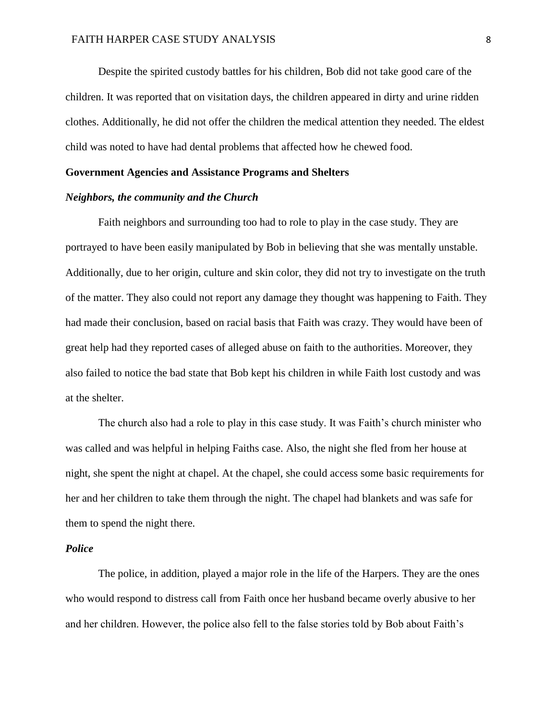Despite the spirited custody battles for his children, Bob did not take good care of the children. It was reported that on visitation days, the children appeared in dirty and urine ridden clothes. Additionally, he did not offer the children the medical attention they needed. The eldest child was noted to have had dental problems that affected how he chewed food.

# **Government Agencies and Assistance Programs and Shelters**

## *Neighbors, the community and the Church*

Faith neighbors and surrounding too had to role to play in the case study. They are portrayed to have been easily manipulated by Bob in believing that she was mentally unstable. Additionally, due to her origin, culture and skin color, they did not try to investigate on the truth of the matter. They also could not report any damage they thought was happening to Faith. They had made their conclusion, based on racial basis that Faith was crazy. They would have been of great help had they reported cases of alleged abuse on faith to the authorities. Moreover, they also failed to notice the bad state that Bob kept his children in while Faith lost custody and was at the shelter.

The church also had a role to play in this case study. It was Faith's church minister who was called and was helpful in helping Faiths case. Also, the night she fled from her house at night, she spent the night at chapel. At the chapel, she could access some basic requirements for her and her children to take them through the night. The chapel had blankets and was safe for them to spend the night there.

# *Police*

The police, in addition, played a major role in the life of the Harpers. They are the ones who would respond to distress call from Faith once her husband became overly abusive to her and her children. However, the police also fell to the false stories told by Bob about Faith's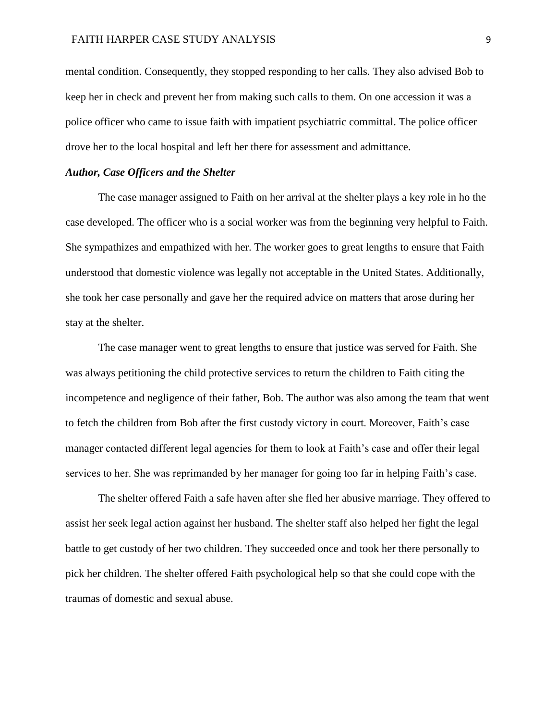mental condition. Consequently, they stopped responding to her calls. They also advised Bob to keep her in check and prevent her from making such calls to them. On one accession it was a police officer who came to issue faith with impatient psychiatric committal. The police officer drove her to the local hospital and left her there for assessment and admittance.

# *Author, Case Officers and the Shelter*

The case manager assigned to Faith on her arrival at the shelter plays a key role in ho the case developed. The officer who is a social worker was from the beginning very helpful to Faith. She sympathizes and empathized with her. The worker goes to great lengths to ensure that Faith understood that domestic violence was legally not acceptable in the United States. Additionally, she took her case personally and gave her the required advice on matters that arose during her stay at the shelter.

The case manager went to great lengths to ensure that justice was served for Faith. She was always petitioning the child protective services to return the children to Faith citing the incompetence and negligence of their father, Bob. The author was also among the team that went to fetch the children from Bob after the first custody victory in court. Moreover, Faith's case manager contacted different legal agencies for them to look at Faith's case and offer their legal services to her. She was reprimanded by her manager for going too far in helping Faith's case.

The shelter offered Faith a safe haven after she fled her abusive marriage. They offered to assist her seek legal action against her husband. The shelter staff also helped her fight the legal battle to get custody of her two children. They succeeded once and took her there personally to pick her children. The shelter offered Faith psychological help so that she could cope with the traumas of domestic and sexual abuse.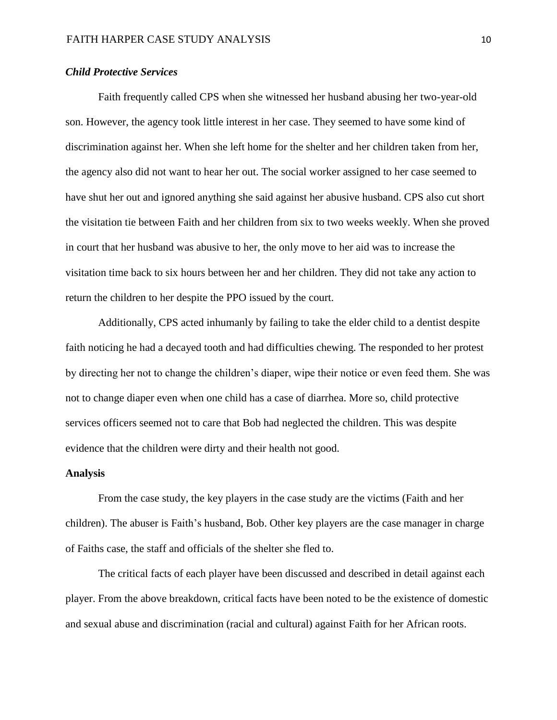# *Child Protective Services*

Faith frequently called CPS when she witnessed her husband abusing her two-year-old son. However, the agency took little interest in her case. They seemed to have some kind of discrimination against her. When she left home for the shelter and her children taken from her, the agency also did not want to hear her out. The social worker assigned to her case seemed to have shut her out and ignored anything she said against her abusive husband. CPS also cut short the visitation tie between Faith and her children from six to two weeks weekly. When she proved in court that her husband was abusive to her, the only move to her aid was to increase the visitation time back to six hours between her and her children. They did not take any action to return the children to her despite the PPO issued by the court.

Additionally, CPS acted inhumanly by failing to take the elder child to a dentist despite faith noticing he had a decayed tooth and had difficulties chewing. The responded to her protest by directing her not to change the children's diaper, wipe their notice or even feed them. She was not to change diaper even when one child has a case of diarrhea. More so, child protective services officers seemed not to care that Bob had neglected the children. This was despite evidence that the children were dirty and their health not good.

#### **Analysis**

From the case study, the key players in the case study are the victims (Faith and her children). The abuser is Faith's husband, Bob. Other key players are the case manager in charge of Faiths case, the staff and officials of the shelter she fled to.

The critical facts of each player have been discussed and described in detail against each player. From the above breakdown, critical facts have been noted to be the existence of domestic and sexual abuse and discrimination (racial and cultural) against Faith for her African roots.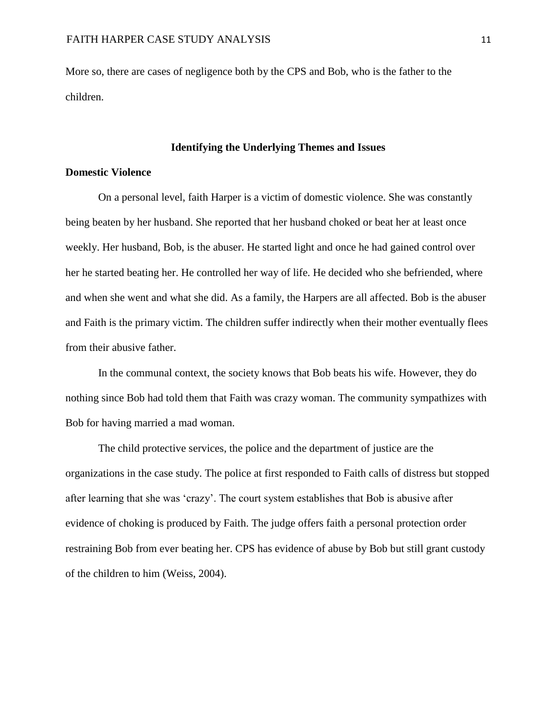More so, there are cases of negligence both by the CPS and Bob, who is the father to the children.

# **Identifying the Underlying Themes and Issues**

# **Domestic Violence**

On a personal level, faith Harper is a victim of domestic violence. She was constantly being beaten by her husband. She reported that her husband choked or beat her at least once weekly. Her husband, Bob, is the abuser. He started light and once he had gained control over her he started beating her. He controlled her way of life. He decided who she befriended, where and when she went and what she did. As a family, the Harpers are all affected. Bob is the abuser and Faith is the primary victim. The children suffer indirectly when their mother eventually flees from their abusive father.

In the communal context, the society knows that Bob beats his wife. However, they do nothing since Bob had told them that Faith was crazy woman. The community sympathizes with Bob for having married a mad woman.

The child protective services, the police and the department of justice are the organizations in the case study. The police at first responded to Faith calls of distress but stopped after learning that she was 'crazy'. The court system establishes that Bob is abusive after evidence of choking is produced by Faith. The judge offers faith a personal protection order restraining Bob from ever beating her. CPS has evidence of abuse by Bob but still grant custody of the children to him (Weiss, 2004).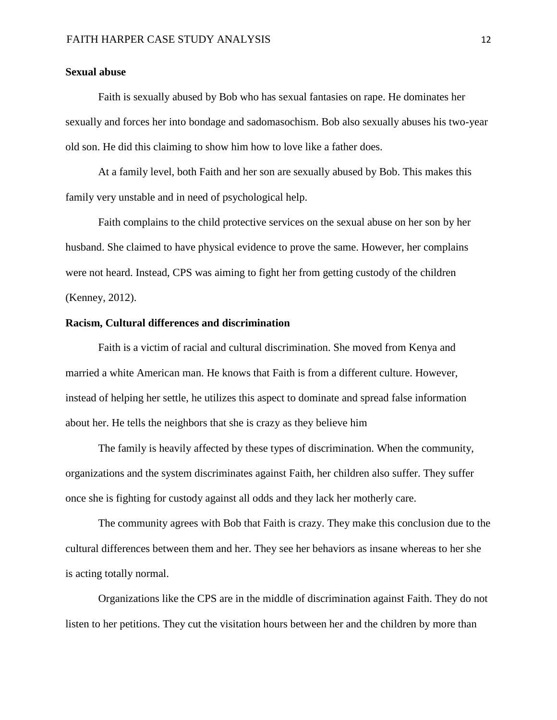# **Sexual abuse**

Faith is sexually abused by Bob who has sexual fantasies on rape. He dominates her sexually and forces her into bondage and sadomasochism. Bob also sexually abuses his two-year old son. He did this claiming to show him how to love like a father does.

At a family level, both Faith and her son are sexually abused by Bob. This makes this family very unstable and in need of psychological help.

Faith complains to the child protective services on the sexual abuse on her son by her husband. She claimed to have physical evidence to prove the same. However, her complains were not heard. Instead, CPS was aiming to fight her from getting custody of the children (Kenney, 2012).

## **Racism, Cultural differences and discrimination**

Faith is a victim of racial and cultural discrimination. She moved from Kenya and married a white American man. He knows that Faith is from a different culture. However, instead of helping her settle, he utilizes this aspect to dominate and spread false information about her. He tells the neighbors that she is crazy as they believe him

The family is heavily affected by these types of discrimination. When the community, organizations and the system discriminates against Faith, her children also suffer. They suffer once she is fighting for custody against all odds and they lack her motherly care.

The community agrees with Bob that Faith is crazy. They make this conclusion due to the cultural differences between them and her. They see her behaviors as insane whereas to her she is acting totally normal.

Organizations like the CPS are in the middle of discrimination against Faith. They do not listen to her petitions. They cut the visitation hours between her and the children by more than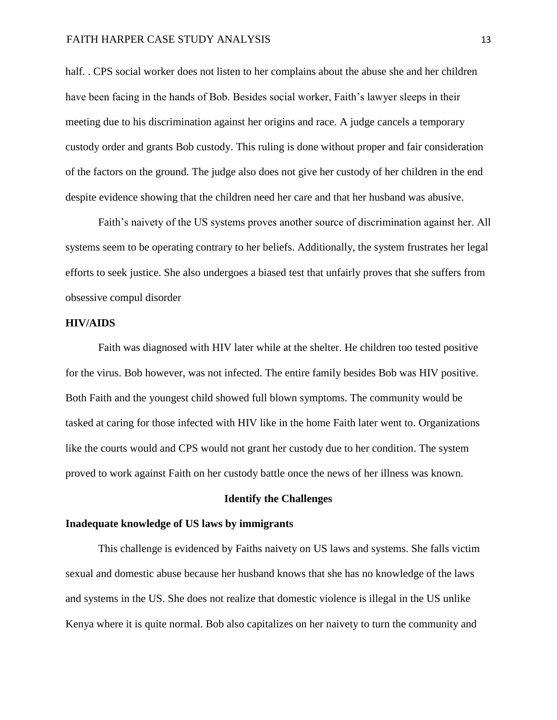half. . CPS social worker does not listen to her complains about the abuse she and her children have been facing in the hands of Bob. Besides social worker, Faith's lawyer sleeps in their meeting due to his discrimination against her origins and race. A judge cancels a temporary custody order and grants Bob custody. This ruling is done without proper and fair consideration of the factors on the ground. The judge also does not give her custody of her children in the end despite evidence showing that the children need her care and that her husband was abusive.

Faith's naivety of the US systems proves another source of discrimination against her. All systems seem to be operating contrary to her beliefs. Additionally, the system frustrates her legal efforts to seek justice. She also undergoes a biased test that unfairly proves that she suffers from obsessive compul disorder

#### **HIV/AIDS**

Faith was diagnosed with HIV later while at the shelter. He children too tested positive for the virus. Bob however, was not infected. The entire family besides Bob was HIV positive. Both Faith and the youngest child showed full blown symptoms. The community would be tasked at caring for those infected with HIV like in the home Faith later went to. Organizations like the courts would and CPS would not grant her custody due to her condition. The system proved to work against Faith on her custody battle once the news of her illness was known.

#### **Identify the Challenges**

#### **Inadequate knowledge of US laws by immigrants**

This challenge is evidenced by Faiths naivety on US laws and systems. She falls victim sexual and domestic abuse because her husband knows that she has no knowledge of the laws and systems in the US. She does not realize that domestic violence is illegal in the US unlike Kenya where it is quite normal. Bob also capitalizes on her naivety to turn the community and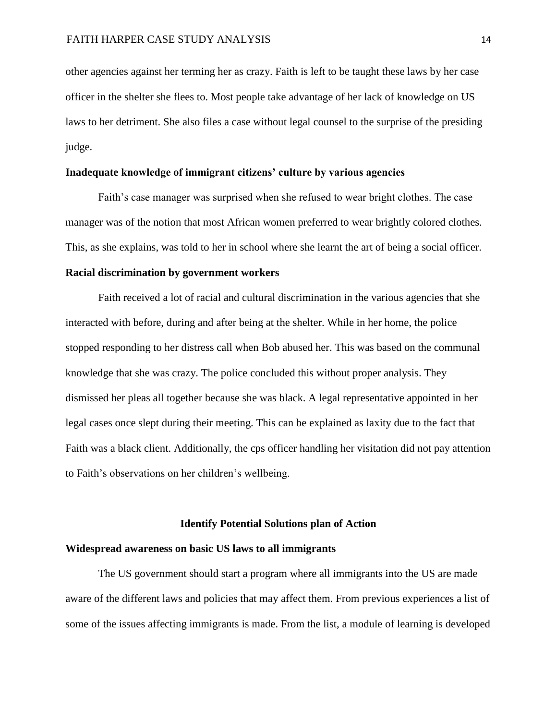other agencies against her terming her as crazy. Faith is left to be taught these laws by her case officer in the shelter she flees to. Most people take advantage of her lack of knowledge on US laws to her detriment. She also files a case without legal counsel to the surprise of the presiding judge.

# **Inadequate knowledge of immigrant citizens' culture by various agencies**

Faith's case manager was surprised when she refused to wear bright clothes. The case manager was of the notion that most African women preferred to wear brightly colored clothes. This, as she explains, was told to her in school where she learnt the art of being a social officer.

## **Racial discrimination by government workers**

Faith received a lot of racial and cultural discrimination in the various agencies that she interacted with before, during and after being at the shelter. While in her home, the police stopped responding to her distress call when Bob abused her. This was based on the communal knowledge that she was crazy. The police concluded this without proper analysis. They dismissed her pleas all together because she was black. A legal representative appointed in her legal cases once slept during their meeting. This can be explained as laxity due to the fact that Faith was a black client. Additionally, the cps officer handling her visitation did not pay attention to Faith's observations on her children's wellbeing.

#### **Identify Potential Solutions plan of Action**

#### **Widespread awareness on basic US laws to all immigrants**

The US government should start a program where all immigrants into the US are made aware of the different laws and policies that may affect them. From previous experiences a list of some of the issues affecting immigrants is made. From the list, a module of learning is developed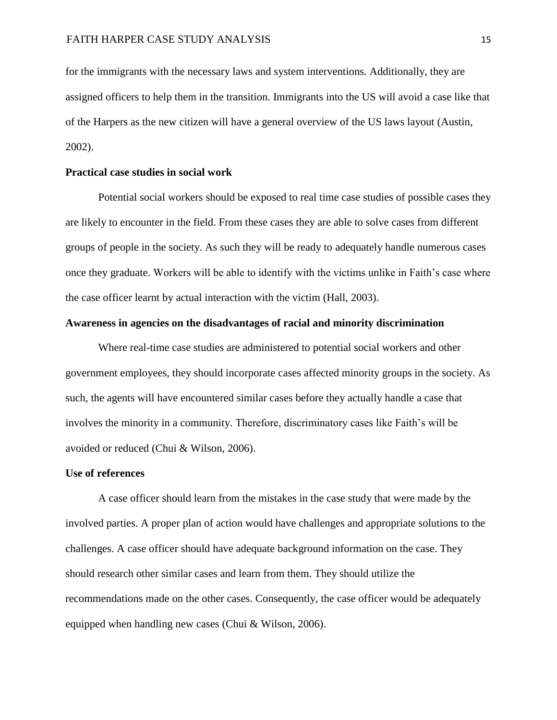for the immigrants with the necessary laws and system interventions. Additionally, they are assigned officers to help them in the transition. Immigrants into the US will avoid a case like that of the Harpers as the new citizen will have a general overview of the US laws layout (Austin, 2002).

## **Practical case studies in social work**

Potential social workers should be exposed to real time case studies of possible cases they are likely to encounter in the field. From these cases they are able to solve cases from different groups of people in the society. As such they will be ready to adequately handle numerous cases once they graduate. Workers will be able to identify with the victims unlike in Faith's case where the case officer learnt by actual interaction with the victim (Hall, 2003).

## **Awareness in agencies on the disadvantages of racial and minority discrimination**

Where real-time case studies are administered to potential social workers and other government employees, they should incorporate cases affected minority groups in the society. As such, the agents will have encountered similar cases before they actually handle a case that involves the minority in a community. Therefore, discriminatory cases like Faith's will be avoided or reduced (Chui & Wilson, 2006).

## **Use of references**

A case officer should learn from the mistakes in the case study that were made by the involved parties. A proper plan of action would have challenges and appropriate solutions to the challenges. A case officer should have adequate background information on the case. They should research other similar cases and learn from them. They should utilize the recommendations made on the other cases. Consequently, the case officer would be adequately equipped when handling new cases (Chui & Wilson, 2006).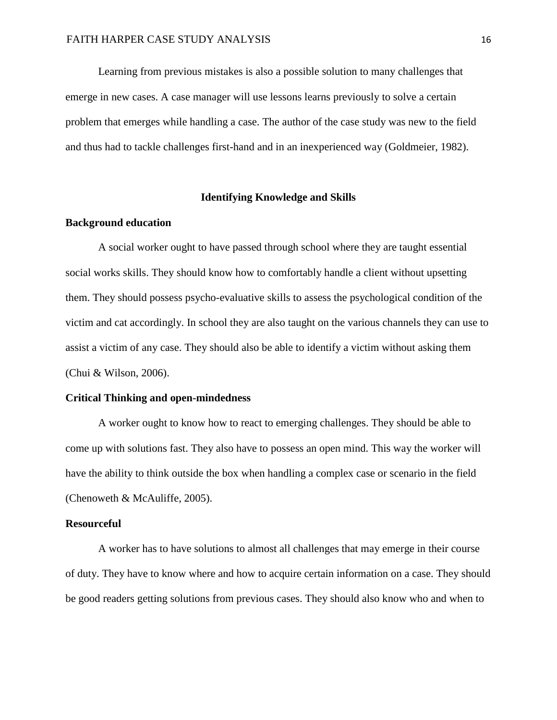Learning from previous mistakes is also a possible solution to many challenges that emerge in new cases. A case manager will use lessons learns previously to solve a certain problem that emerges while handling a case. The author of the case study was new to the field and thus had to tackle challenges first-hand and in an inexperienced way (Goldmeier, 1982).

## **Identifying Knowledge and Skills**

## **Background education**

A social worker ought to have passed through school where they are taught essential social works skills. They should know how to comfortably handle a client without upsetting them. They should possess psycho-evaluative skills to assess the psychological condition of the victim and cat accordingly. In school they are also taught on the various channels they can use to assist a victim of any case. They should also be able to identify a victim without asking them (Chui & Wilson, 2006).

## **Critical Thinking and open-mindedness**

A worker ought to know how to react to emerging challenges. They should be able to come up with solutions fast. They also have to possess an open mind. This way the worker will have the ability to think outside the box when handling a complex case or scenario in the field (Chenoweth & McAuliffe, 2005).

#### **Resourceful**

A worker has to have solutions to almost all challenges that may emerge in their course of duty. They have to know where and how to acquire certain information on a case. They should be good readers getting solutions from previous cases. They should also know who and when to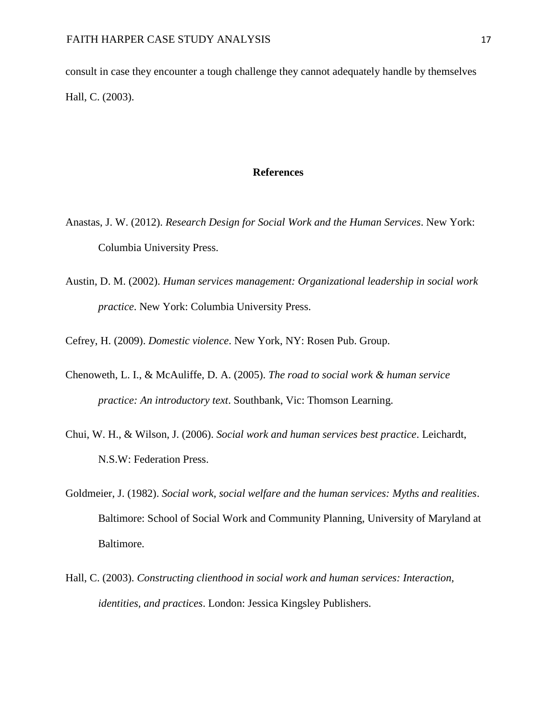consult in case they encounter a tough challenge they cannot adequately handle by themselves Hall, C. (2003).

#### **References**

- Anastas, J. W. (2012). *Research Design for Social Work and the Human Services*. New York: Columbia University Press.
- Austin, D. M. (2002). *Human services management: Organizational leadership in social work practice*. New York: Columbia University Press.

Cefrey, H. (2009). *Domestic violence*. New York, NY: Rosen Pub. Group.

- Chenoweth, L. I., & McAuliffe, D. A. (2005). *The road to social work & human service practice: An introductory text*. Southbank, Vic: Thomson Learning.
- Chui, W. H., & Wilson, J. (2006). *Social work and human services best practice*. Leichardt, N.S.W: Federation Press.
- Goldmeier, J. (1982). *Social work, social welfare and the human services: Myths and realities*. Baltimore: School of Social Work and Community Planning, University of Maryland at Baltimore.
- Hall, C. (2003). *Constructing clienthood in social work and human services: Interaction, identities, and practices*. London: Jessica Kingsley Publishers.